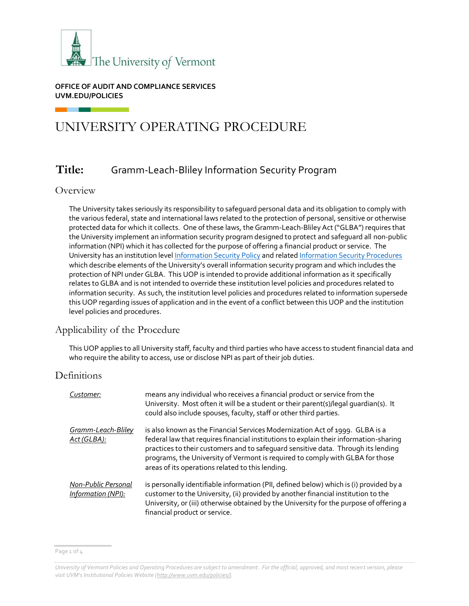

#### **OFFICE OF AUDIT AND COMPLIANCE SERVICES UVM.EDU/POLICIES**

# UNIVERSITY OPERATING PROCEDURE

# **Title:** Gramm-Leach-Bliley Information Security Program

## Overview

The University takes seriously its responsibility to safeguard personal data and its obligation to comply with the various federal, state and international laws related to the protection of personal, sensitive or otherwise protected data for which it collects. One of these laws, the Gramm-Leach-Bliley Act ("GLBA") requires that the University implement an information security program designed to protect and safeguard all non-public information (NPI) which it has collected for the purpose of offering a financial product or service. The University has an institution leve[l Information Security Policy](https://www.uvm.edu/sites/default/files/UVM-Policies/policies/infosecurity.pdf) and relate[d Information Security Procedures](https://www.uvm.edu/sites/default/files/UVM-Policies/policies/infosecurityprocedures.pdf) which describe elements of the University's overall information security program and which includes the protection of NPI under GLBA. This UOP is intended to provide additional information as it specifically relates to GLBA and is not intended to override these institution level policies and procedures related to information security. As such, the institution level policies and procedures related to information supersede this UOP regarding issues of application and in the event of a conflict between this UOP and the institution level policies and procedures.

# Applicability of the Procedure

This UOP applies to all University staff, faculty and third parties who have access to student financial data and who require the ability to access, use or disclose NPI as part of their job duties.

## Definitions

| Customer:                                 | means any individual who receives a financial product or service from the<br>University. Most often it will be a student or their parent(s)/legal quardian(s). It<br>could also include spouses, faculty, staff or other third parties.                                                                                                                                                         |
|-------------------------------------------|-------------------------------------------------------------------------------------------------------------------------------------------------------------------------------------------------------------------------------------------------------------------------------------------------------------------------------------------------------------------------------------------------|
| Gramm-Leach-Bliley<br>Act (GLBA):         | is also known as the Financial Services Modernization Act of 1999. GLBA is a<br>federal law that requires financial institutions to explain their information-sharing<br>practices to their customers and to safeguard sensitive data. Through its lending<br>programs, the University of Vermont is required to comply with GLBA for those<br>areas of its operations related to this lending. |
| Non-Public Personal<br>Information (NPI): | is personally identifiable information (PII, defined below) which is (i) provided by a<br>customer to the University, (ii) provided by another financial institution to the<br>University, or (iii) otherwise obtained by the University for the purpose of offering a<br>financial product or service.                                                                                         |

Page 1 of 4

*University of Vermont Policies and Operating Procedures are subject to amendment. For the official, approved, and most recent version, please visit UVM's Institutional Policies Website ([http://www.uvm.edu/policies/\).](http://www.uvm.edu/policies/)*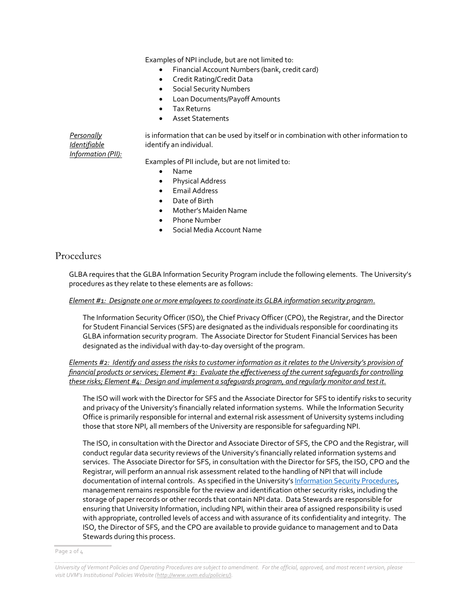Examples of NPI include, but are not limited to:

- Financial Account Numbers (bank, credit card)
- Credit Rating/Credit Data
- **•** Social Security Numbers
- Loan Documents/Payoff Amounts
- Tax Returns
- Asset Statements

is information that can be used by itself or in combination with other information to identify an individual.

Examples of PII include, but are not limited to:

- Name
- Physical Address
- **•** Email Address
- Date of Birth
- Mother's Maiden Name
- Phone Number
- Social Media Account Name

### Procedures

*Personally Identifiable Information (PII):*

GLBA requires that the GLBA Information Security Program include the following elements. The University's procedures as they relate to these elements are as follows:

#### *Element #1: Designate one or more employees to coordinate its GLBA information security program.*

The Information Security Officer (ISO), the Chief Privacy Officer (CPO), the Registrar, and the Director for Student Financial Services (SFS) are designated as the individuals responsible for coordinating its GLBA information security program. The Associate Director for Student Financial Services has been designated as the individual with day-to-day oversight of the program.

*Elements #2: Identify and assess the risks to customer information as it relates to the University's provision of financial products or services; Element #3: Evaluate the effectiveness of the current safeguards for controlling these risks; Element #4: Design and implement a safeguards program, and regularly monitor and test it.*

The ISO will work with the Director for SFS and the Associate Director for SFS to identify risks to security and privacy of the University's financially related information systems. While the Information Security Office is primarily responsible for internal and external risk assessment of University systems including those that store NPI, all members of the University are responsible for safeguarding NPI.

The ISO, in consultation with the Director and Associate Director of SFS, the CPO and the Registrar, will conduct regular data security reviews of the University's financially related information systems and services. The Associate Director for SFS, in consultation with the Director for SFS, the ISO, CPO and the Registrar, will perform an annual risk assessment related to the handling of NPI that will include documentation of internal controls. As specified in the University's [Information Security Procedures,](https://www.uvm.edu/sites/default/files/UVM-Policies/policies/infosecurityprocedures.pdf) management remains responsible for the review and identification other security risks, including the storage of paper records or other records that contain NPI data. Data Stewards are responsible for ensuring that University Information, including NPI, within their area of assigned responsibility is used with appropriate, controlled levels of access and with assurance of its confidentiality and integrity. The ISO, the Director of SFS, and the CPO are available to provide guidance to management and to Data Stewards during this process.

Page 2 of 4

*University of Vermont Policies and Operating Procedures are subject to amendment. For the official, approved, and most recent version, please visit UVM's Institutional Policies Website ([http://www.uvm.edu/policies/\).](http://www.uvm.edu/policies/)*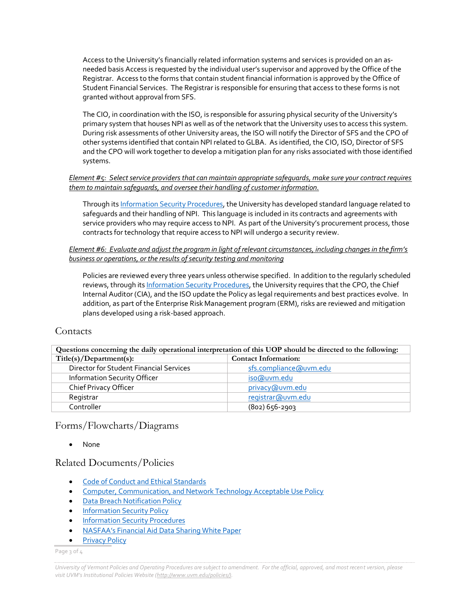Access to the University's financially related information systems and services is provided on an asneeded basis Access is requested by the individual user's supervisor and approved by the Office of the Registrar. Access to the forms that contain student financial information is approved by the Office of Student Financial Services. The Registrar is responsible for ensuring that access to these forms is not granted without approval from SFS.

The CIO, in coordination with the ISO, is responsible for assuring physical security of the University's primary system that houses NPI as well as of the network that the University uses to access this system. During risk assessments of other University areas, the ISO will notify the Director of SFS and the CPO of other systems identified that contain NPI related to GLBA. As identified, the CIO, ISO, Director of SFS and the CPO will work together to develop a mitigation plan for any risks associated with those identified systems.

#### *Element #5: Select service providers that can maintain appropriate safeguards, make sure your contract requires them to maintain safeguards, and oversee their handling of customer information.*

Through it[s Information Security Procedures,](https://www.uvm.edu/sites/default/files/UVM-Policies/policies/infosecurityprocedures.pdf) the University has developed standard language related to safeguards and their handling of NPI. This language is included in its contracts and agreements with service providers who may require access to NPI. As part of the University's procurement process, those contracts for technology that require access to NPI will undergo a security review.

#### *Element #6: Evaluate and adjust the program in light of relevant circumstances, including changes in the firm's business or operations, or the results of security testing and monitoring*

Policies are reviewed every three years unless otherwise specified. In addition to the regularly scheduled reviews, through it[s Information Security Procedures,](https://www.uvm.edu/sites/default/files/UVM-Policies/policies/infosecurityprocedures.pdf) the University requires that the CPO, the Chief Internal Auditor (CIA), and the ISO update the Policy as legal requirements and best practices evolve. In addition, as part of the Enterprise Risk Management program (ERM), risks are reviewed and mitigation plans developed using a risk-based approach.

#### **Contacts**

| Questions concerning the daily operational interpretation of this UOP should be directed to the following: |                             |  |  |  |
|------------------------------------------------------------------------------------------------------------|-----------------------------|--|--|--|
| Title(s)/Department(s):                                                                                    | <b>Contact Information:</b> |  |  |  |
| Director for Student Financial Services                                                                    | sfs.compliance@uvm.edu      |  |  |  |
| Information Security Officer                                                                               | iso@uvm.edu                 |  |  |  |
| Chief Privacy Officer                                                                                      | privacy@uvm.edu             |  |  |  |
| Registrar                                                                                                  | registrar@uvm.edu           |  |  |  |
| Controller                                                                                                 | $(802) 656 - 2903$          |  |  |  |

## Forms/Flowcharts/Diagrams

None

## Related Documents/Policies

- **•** Code of Conduct [and Ethical Standards](https://www.uvm.edu/sites/default/files/UVM-Policies/policies/businessconduct.pdf)
- [Computer, Communication, and Network Technology Acceptable Use Policy](https://www.uvm.edu/sites/default/files/UVM-Policies/policies/compuse.pdf)
- **[Data Breach Notification Policy](https://www.uvm.edu/sites/default/files/UVM-Policies/policies/databreach.pdf)**
- **[Information Security Policy](https://www.uvm.edu/sites/default/files/UVM-Policies/policies/infosecurity.pdf)**
- **[Information Security Procedures](https://www.uvm.edu/sites/default/files/UVM-Policies/policies/infosecurityprocedures.pdf)**
- [NASFAA's Financial Aid Dat](https://www.nasfaa.org/uploads/documents/june2017_data_sharing_white_paper.pdf)a Sharing White Paper
- [Privacy Policy](https://www.uvm.edu/sites/default/files/UVM-Policies/policies/privacy.pdf)

Page 3 of 4